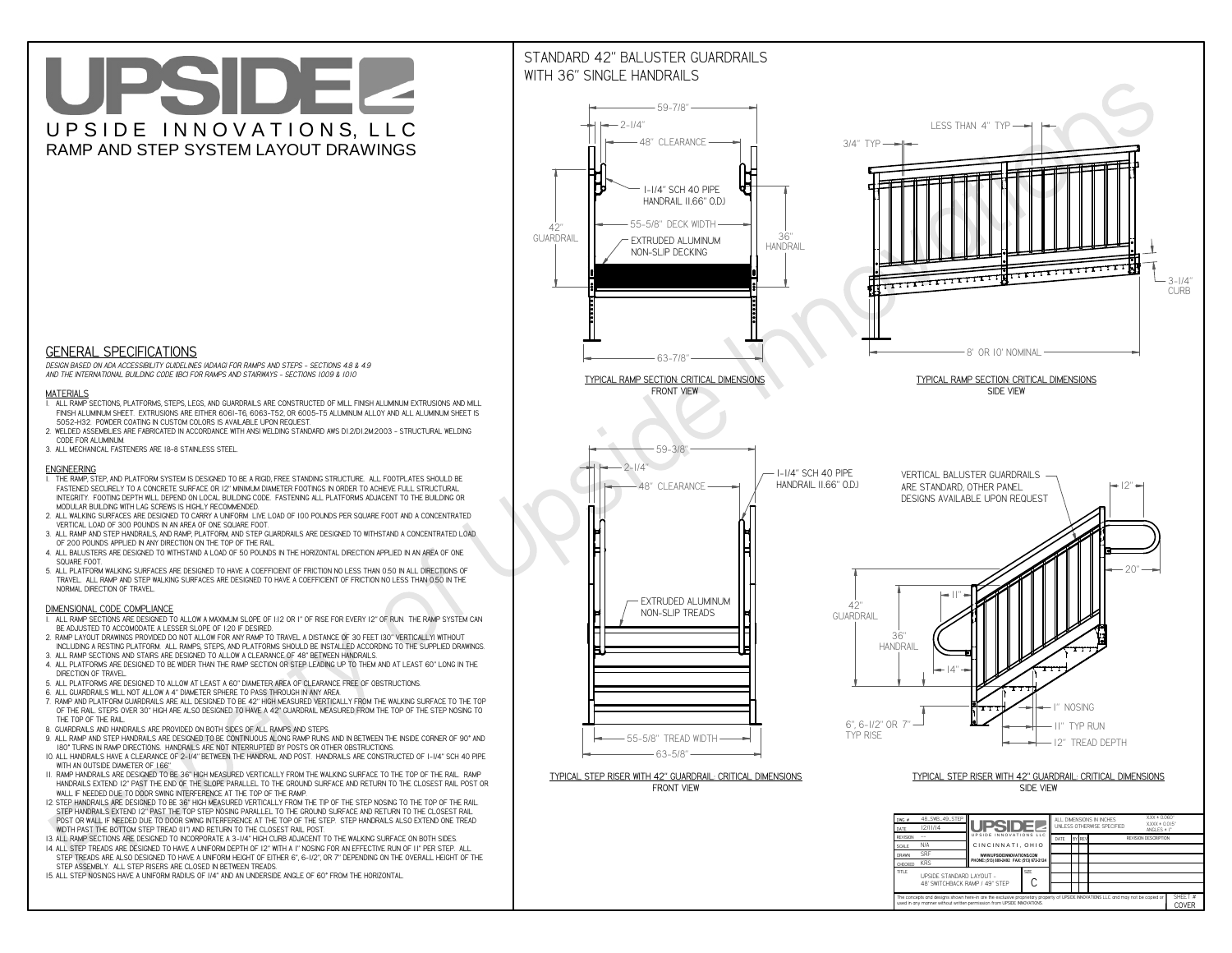**CThe concepts and designs shown here-in are the exclusive proprietary property of UPSIDE INNOVATIONS LLC. and may not be copied or**

**H** 

**used in any manner without written permission from UPSIDE INNOVATIONS.**

# UPSIDEL UPSIDE INNOVATIONS, LLC RAMP AND STEP SYSTEM LAYOUT DRAWINGS

SHEET #**COVER**

48' SWITCHBACK RAMP / 49" STEP



# WITH 36" SINGLE HANDRAILS



 *DESIGN BASED ON ADA ACCESSIBILITY GUIDELINES (ADAAG) FOR RAMPS AND STEPS - SECTIONS 4.8 & 4.9AND THE INTERNATIONAL BUILDING CODE (IBC) FOR RAMPS AND STAIRWAYS - SECTIONS 1009 & 1010*

### **MATERIALS**

- **1. ALL RAMP SECTIONS, PLATFORMS, STEPS, LEGS, AND GUARDRAILS ARE CONSTRUCTED OF MILL FINISH ALUMINUM EXTRUSIONS AND MILL FINISH ALUMINUM SHEET. EXTRUSIONS ARE EITHER 6061-T6, 6063-T52, OR 6005-T5 ALUMINUM ALLOY AND ALL ALUMINUM SHEET IS 5052-H32. POWDER COATING IN CUSTOM COLORS IS AVAILABLE UPON REQUEST.**
- **2. WELDED ASSEMBLIES ARE FABRICATED IN ACCORDANCE WITH ANSI WELDING STANDARD AWS D1.2/D1.2M:2003 STRUCTURAL WELDING CODE FOR ALUMINUM.**
- **3. ALL MECHANICAL FASTENERS ARE 18-8 STAINLESS STEEL.**

#### **ENGINEERING**

- **1. THE RAMP, STEP, AND PLATFORM SYSTEM IS DESIGNED TO BE A RIGID, FREE STANDING STRUCTURE. ALL FOOTPLATES SHOULD BE FASTENED SECURELY TO A CONCRETE SURFACE OR 12" MINIMUM DIAMETER FOOTINGS IN ORDER TO ACHIEVE FULL STRUCTURAL INTEGRITY. FOOTING DEPTH WILL DEPEND ON LOCAL BUILDING CODE. FASTENING ALL PLATFORMS ADJACENT TO THE BUILDING OR MODULAR BUILDING WITH LAG SCREWS IS HIGHLY RECOMMENDED.**
- **2. ALL WALKING SURFACES ARE DESIGNED TO CARRY A UNIFORM LIVE LOAD OF 100 POUNDS PER SQUARE FOOT AND A CONCENTRATED VERTICAL LOAD OF 300 POUNDS IN AN AREA OF ONE SQUARE FOOT.**
- **3. ALL RAMP AND STEP HANDRAILS, AND RAMP, PLATFORM, AND STEP GUARDRAILS ARE DESIGNED TO WITHSTAND A CONCENTRATED LOAD OF 200 POUNDS APPLIED IN ANY DIRECTION ON THE TOP OF THE RAIL.**
- **4. ALL BALUSTERS ARE DESIGNED TO WITHSTAND A LOAD OF 50 POUNDS IN THE HORIZONTAL DIRECTION APPLIED IN AN AREA OF ONE SQUARE FOOT.**
- **5. ALL PLATFORM WALKING SURFACES ARE DESIGNED TO HAVE A COEFFICIENT OF FRICTION NO LESS THAN 0.50 IN ALL DIRECTIONS OF TRAVEL. ALL RAMP AND STEP WALKING SURFACES ARE DESIGNED TO HAVE A COEFFICIENT OF FRICTION NO LESS THAN 0.50 IN THE NORMAL DIRECTION OF TRAVEL.**

### **DIMENSIONAL CODE COMPLIANCE**

- **1. ALL RAMP SECTIONS ARE DESIGNED TO ALLOW A MAXIMUM SLOPE OF 1:12 OR 1" OF RISE FOR EVERY 12" OF RUN. THE RAMP SYSTEM CAN BE ADJUSTED TO ACCOMODATE A LESSER SLOPE OF 1:20 IF DESIRED.**
- **2. RAMP LAYOUT DRAWINGS PROVIDED DO NOT ALLOW FOR ANY RAMP TO TRAVEL A DISTANCE OF 30 FEET (30" VERTICALLY) WITHOUT INCLUDING A RESTING PLATFORM. ALL RAMPS, STEPS, AND PLATFORMS SHOULD BE INSTALLED ACCORDING TO THE SUPPLIED DRAWINGS.**
- **3. ALL RAMP SECTIONS AND STAIRS ARE DESIGNED TO ALLOW A CLEARANCE OF 48" BETWEEN HANDRAILS.**
- **4. ALL PLATFORMS ARE DESIGNED TO BE WIDER THAN THE RAMP SECTION OR STEP LEADING UP TO THEM AND AT LEAST 60" LONG IN THE DIRECTION OF TRAVEL.**
- **5. ALL PLATFORMS ARE DESIGNED TO ALLOW AT LEAST A 60" DIAMETER AREA OF CLEARANCE FREE OF OBSTRUCTIONS.**
- **6. ALL GUARDRAILS WILL NOT ALLOW A 4" DIAMETER SPHERE TO PASS THROUGH IN ANY AREA.**
- **7. RAMP AND PLATFORM GUARDRAILS ARE ALL DESIGNED TO BE 42" HIGH MEASURED VERTICALLY FROM THE WALKING SURFACE TO THE TOP OF THE RAIL. STEPS OVER 30" HIGH ARE ALSO DESIGNED TO HAVE A 42" GUARDRAIL MEASURED FROM THE TOP OF THE STEP NOSING TO THE TOP OF THE RAIL.**
- **8. GUARDRAILS AND HANDRAILS ARE PROVIDED ON BOTH SIDES OF ALL RAMPS AND STEPS.**
- **9. ALL RAMP AND STEP HANDRAILS ARE DESIGNED TO BE CONTINUOUS ALONG RAMP RUNS AND IN BETWEEN THE INSIDE CORNER OF 90° AND 180° TURNS IN RAMP DIRECTIONS. HANDRAILS ARE NOT INTERRUPTED BY POSTS OR OTHER OBSTRUCTIONS.**
- **10. ALL HANDRAILS HAVE A CLEARANCE OF 2-1/4" BETWEEN THE HANDRAIL AND POST. HANDRAILS ARE CONSTRUCTED OF 1-1/4" SCH 40 PIPE WITH AN OUTSIDE DIAMETER OF 1.66"**
- **11. RAMP HANDRAILS ARE DESIGNED TO BE 36" HIGH MEASURED VERTICALLY FROM THE WALKING SURFACE TO THE TOP OF THE RAIL. RAMP HANDRAILS EXTEND 12" PAST THE END OF THE SLOPE PARALLEL TO THE GROUND SURFACE AND RETURN TO THE CLOSEST RAIL POST OR WALL IF NEEDED DUE TO DOOR SWING INTERFERENCE AT THE TOP OF THE RAMP.**
- **12. STEP HANDRAILS ARE DESIGNED TO BE 36" HIGH MEASURED VERTICALLY FROM THE TIP OF THE STEP NOSING TO THE TOP OF THE RAIL. STEP HANDRAILS EXTEND 12" PAST THE TOP STEP NOSING PARALLEL TO THE GROUND SURFACE AND RETURN TO THE CLOSEST RAIL POST OR WALL IF NEEDED DUE TO DOOR SWING INTERFERENCE AT THE TOP OF THE STEP. STEP HANDRAILS ALSO EXTEND ONE TREAD WIDTH PAST THE BOTTOM STEP TREAD (11") AND RETURN TO THE CLOSEST RAIL POST.**
- **13. ALL RAMP SECTIONS ARE DESIGNED TO INCORPORATE A 3-1/4" HIGH CURB ADJACENT TO THE WALKING SURFACE ON BOTH SIDES.**
- **14. ALL STEP TREADS ARE DESIGNED TO HAVE A UNIFORM DEPTH OF 12" WITH A 1" NOSING FOR AN EFFECTIVE RUN OF 11" PER STEP. ALL**
- **STEP TREADS ARE ALSO DESIGNED TO HAVE A UNIFORM HEIGHT OF EITHER 6", 6-1/2", OR 7" DEPENDING ON THE OVERALL HEIGHT OF THE STEP ASSEMBLY. ALL STEP RISERS ARE CLOSED IN BETWEEN TREADS.**
- **15. ALL STEP NOSINGS HAVE A UNIFORM RADIUS OF 1/4" AND AN UNDERSIDE ANGLE OF 60° FROM THE HORIZONTAL.**